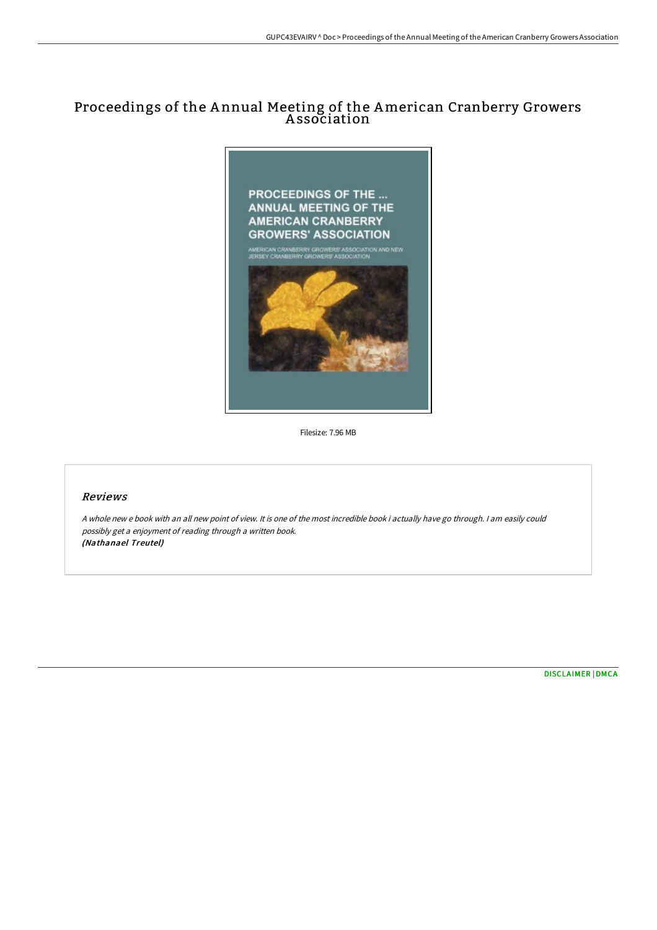# Proceedings of the A nnual Meeting of the American Cranberry Growers A ssociation



Filesize: 7.96 MB

### Reviews

<sup>A</sup> whole new <sup>e</sup> book with an all new point of view. It is one of the most incredible book i actually have go through. <sup>I</sup> am easily could possibly get <sup>a</sup> enjoyment of reading through <sup>a</sup> written book. (Nathanael Treutel)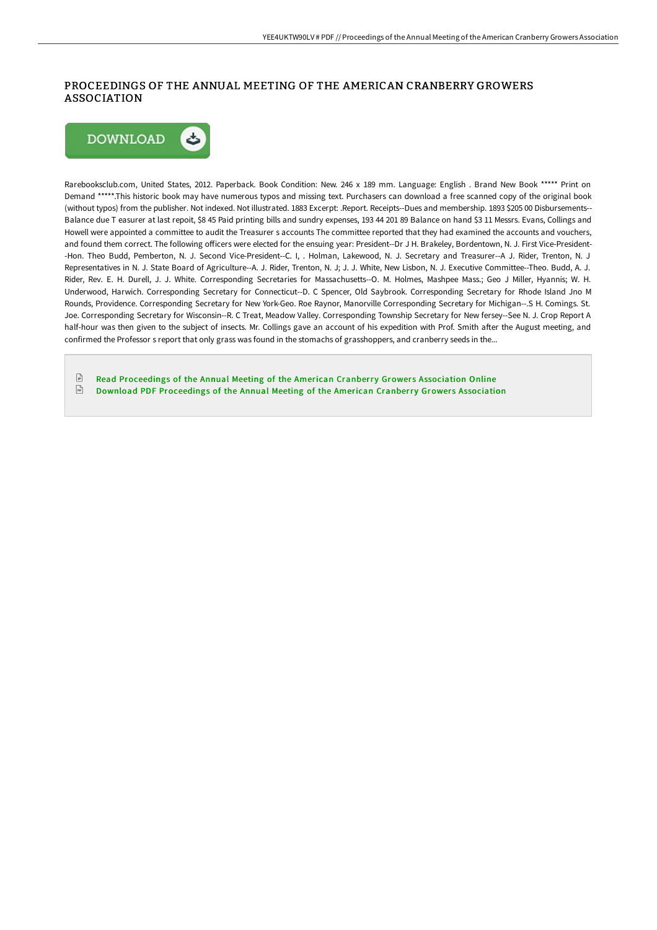## PROCEEDINGS OF THE ANNUAL MEETING OF THE AMERICAN CRANBERRY GROWERS ASSOCIATION



Rarebooksclub.com, United States, 2012. Paperback. Book Condition: New. 246 x 189 mm. Language: English . Brand New Book \*\*\*\*\* Print on Demand \*\*\*\*\*.This historic book may have numerous typos and missing text. Purchasers can download a free scanned copy of the original book (without typos) from the publisher. Not indexed. Not illustrated. 1883 Excerpt: .Report. Receipts--Dues and membership. 1893 \$205 00 Disbursements-- Balance due T easurer at last repoit, \$8 45 Paid printing bills and sundry expenses, 193 44 201 89 Balance on hand \$3 11 Messrs. Evans, Collings and Howell were appointed a committee to audit the Treasurer s accounts The committee reported that they had examined the accounts and vouchers, and found them correct. The following officers were elected for the ensuing year: President--Dr J H. Brakeley, Bordentown, N. J. First Vice-President--Hon. Theo Budd, Pemberton, N. J. Second Vice-President--C. I, . Holman, Lakewood, N. J. Secretary and Treasurer--A J. Rider, Trenton, N. J Representatives in N. J. State Board of Agriculture--A. J. Rider, Trenton, N. J; J. J. White, New Lisbon, N. J. Executive Committee--Theo. Budd, A. J. Rider, Rev. E. H. Durell, J. J. White. Corresponding Secretaries for Massachusetts--O. M. Holmes, Mashpee Mass.; Geo J Miller, Hyannis; W. H. Underwood, Harwich. Corresponding Secretary for Connecticut--D. C Spencer, Old Saybrook. Corresponding Secretary for Rhode Island Jno M Rounds, Providence. Corresponding Secretary for New York-Geo. Roe Raynor, Manorville Corresponding Secretary for Michigan--.S H. Comings. St. Joe. Corresponding Secretary for Wisconsin--R. C Treat, Meadow Valley. Corresponding Township Secretary for New fersey--See N. J. Crop Report A half-hour was then given to the subject of insects. Mr. Collings gave an account of his expedition with Prof. Smith after the August meeting, and confirmed the Professor s report that only grass was found in the stomachs of grasshoppers, and cranberry seeds in the...

 $\ensuremath{\boxdot}$ Read [Proceedings](http://techno-pub.tech/proceedings-of-the-annual-meeting-of-the-america.html) of the Annual Meeting of the American Cranberry Growers Association Online  $F(f)$ Download PDF [Proceedings](http://techno-pub.tech/proceedings-of-the-annual-meeting-of-the-america.html) of the Annual Meeting of the American Cranberry Growers Association